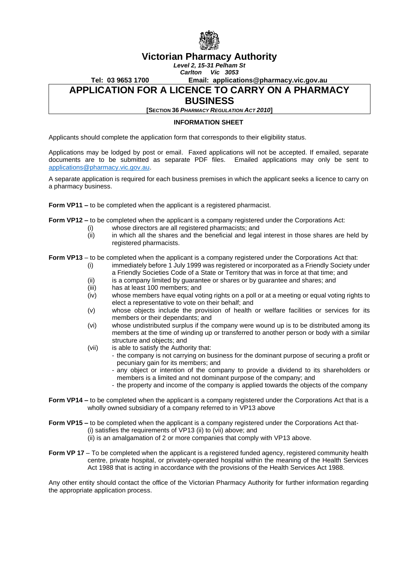

# **Victorian Pharmacy Authority**

*Level 2, 15-31 Pelham St*

*Carlton Vic 3053*

**Tel: 03 9653 1700 Email: applications@pharmacy.vic.gov.au**

### **APPLICATION FOR A LICENCE TO CARRY ON A PHARMACY**

### **BUSINESS**

**[SECTION 36** *PHARMACY REGULATION ACT 2010***]**

#### **INFORMATION SHEET**

Applicants should complete the application form that corresponds to their eligibility status.

Applications may be lodged by post or email. Faxed applications will not be accepted. If emailed, separate documents are to be submitted as separate PDF files. Emailed applications may only be sent to [applications@pharmacy.vic.gov.au.](mailto:applications@pharmacy.vic.gov.au)

A separate application is required for each business premises in which the applicant seeks a licence to carry on a pharmacy business.

**Form VP11 –** to be completed when the applicant is a registered pharmacist.

**Form VP12 –** to be completed when the applicant is a company registered under the Corporations Act:

- (i) whose directors are all registered pharmacists; and
- (ii) in which all the shares and the beneficial and legal interest in those shares are held by registered pharmacists.

**Form VP13** – to be completed when the applicant is a company registered under the Corporations Act that:

- (i) immediately before 1 July 1999 was registered or incorporated as a Friendly Society under a Friendly Societies Code of a State or Territory that was in force at that time; and
- (ii) is a company limited by guarantee or shares or by guarantee and shares; and
- (iii) has at least 100 members; and
- (iv) whose members have equal voting rights on a poll or at a meeting or equal voting rights to elect a representative to vote on their behalf; and
- (v) whose objects include the provision of health or welfare facilities or services for its members or their dependants; and
- (vi) whose undistributed surplus if the company were wound up is to be distributed among its members at the time of winding up or transferred to another person or body with a similar structure and objects; and
- (vii) is able to satisfy the Authority that:
	- the company is not carrying on business for the dominant purpose of securing a profit or pecuniary gain for its members; and
	- any object or intention of the company to provide a dividend to its shareholders or members is a limited and not dominant purpose of the company; and
	- the property and income of the company is applied towards the objects of the company
- **Form VP14** to be completed when the applicant is a company registered under the Corporations Act that is a wholly owned subsidiary of a company referred to in VP13 above

**Form VP15** – to be completed when the applicant is a company registered under the Corporations Act that-(i) satisfies the requirements of VP13 (ii) to (vii) above; and

(ii) is an amalgamation of 2 or more companies that comply with VP13 above.

**Form VP 17** – To be completed when the applicant is a registered funded agency, registered community health centre, private hospital, or privately-operated hospital within the meaning of the Health Services Act 1988 that is acting in accordance with the provisions of the Health Services Act 1988.

Any other entity should contact the office of the Victorian Pharmacy Authority for further information regarding the appropriate application process.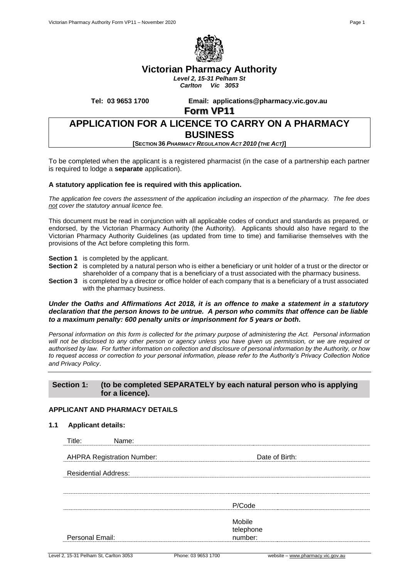

# **Victorian Pharmacy Authority**

*Level 2, 15-31 Pelham St Carlton Vic 3053*

**Tel: 03 9653 1700 Email: applications@pharmacy.vic.gov.au**

**Form VP11**

# **APPLICATION FOR A LICENCE TO CARRY ON A PHARMACY BUSINESS**

**[SECTION 36** *PHARMACY REGULATION ACT 2010 (THE ACT)***]**

To be completed when the applicant is a registered pharmacist (in the case of a partnership each partner is required to lodge a **separate** application).

#### **A statutory application fee is required with this application.**

*The application fee covers the assessment of the application including an inspection of the pharmacy. The fee does not cover the statutory annual licence fee.*

This document must be read in conjunction with all applicable codes of conduct and standards as prepared, or endorsed, by the Victorian Pharmacy Authority (the Authority). Applicants should also have regard to the Victorian Pharmacy Authority Guidelines (as updated from time to time) and familiarise themselves with the provisions of the Act before completing this form.

- **Section 1** is completed by the applicant.
- **Section 2** is completed by a natural person who is either a beneficiary or unit holder of a trust or the director or shareholder of a company that is a beneficiary of a trust associated with the pharmacy business.
- **Section 3** is completed by a director or office holder of each company that is a beneficiary of a trust associated with the pharmacy business.

#### *Under the Oaths and Affirmations Act 2018, it is an offence to make a statement in a statutory declaration that the person knows to be untrue. A person who commits that offence can be liable to a maximum penalty: 600 penalty units or imprisonment for 5 years or both.*

*Personal information on this form is collected for the primary purpose of administering the Act. Personal information will not be disclosed to any other person or agency unless you have given us permission, or we are required or authorised by law. For further information on collection and disclosure of personal information by the Authority, or how to request access or correction to your personal information, please refer to the Authority's Privacy Collection Notice and Privacy Policy*.

### **Section 1: (to be completed SEPARATELY by each natural person who is applying for a licence).**

### **APPLICANT AND PHARMACY DETAILS**

| <b>Applicant details:</b><br>1.1 |
|----------------------------------|
|----------------------------------|

| Title:<br>Name:                   |                                |
|-----------------------------------|--------------------------------|
| <b>AHPRA Registration Number:</b> | Date of Birth:                 |
| <b>Residential Address:</b>       |                                |
|                                   |                                |
|                                   | P/Code                         |
|                                   | Mobile<br>telephone<br>number: |
| Personal Email:                   |                                |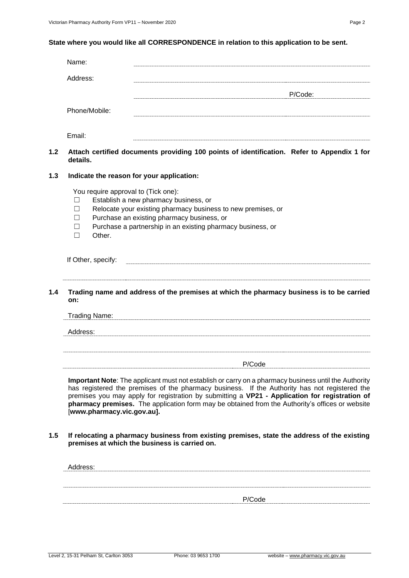### **State where you would like all CORRESPONDENCE in relation to this application to be sent.**

|     | Name:                                                                             |                                                                                                                                                                                                                                                                                                                                                                                                            |         |
|-----|-----------------------------------------------------------------------------------|------------------------------------------------------------------------------------------------------------------------------------------------------------------------------------------------------------------------------------------------------------------------------------------------------------------------------------------------------------------------------------------------------------|---------|
|     | Address:                                                                          |                                                                                                                                                                                                                                                                                                                                                                                                            |         |
|     | Phone/Mobile:                                                                     |                                                                                                                                                                                                                                                                                                                                                                                                            | P/Code: |
|     | Email:                                                                            |                                                                                                                                                                                                                                                                                                                                                                                                            |         |
| 1.2 | details.                                                                          | Attach certified documents providing 100 points of identification. Refer to Appendix 1 for                                                                                                                                                                                                                                                                                                                 |         |
| 1.3 | Indicate the reason for your application:                                         |                                                                                                                                                                                                                                                                                                                                                                                                            |         |
|     | You require approval to (Tick one):<br>П<br>$\Box$<br>$\vert \ \ \vert$<br>Other. | Establish a new pharmacy business, or<br>Relocate your existing pharmacy business to new premises, or<br>Purchase an existing pharmacy business, or<br>Purchase a partnership in an existing pharmacy business, or                                                                                                                                                                                         |         |
|     | If Other, specify:                                                                |                                                                                                                                                                                                                                                                                                                                                                                                            |         |
| 1.4 | on:                                                                               | Trading name and address of the premises at which the pharmacy business is to be carried                                                                                                                                                                                                                                                                                                                   |         |
|     | Trading Name:                                                                     |                                                                                                                                                                                                                                                                                                                                                                                                            |         |
|     | Address:                                                                          |                                                                                                                                                                                                                                                                                                                                                                                                            |         |
|     |                                                                                   | P/Code                                                                                                                                                                                                                                                                                                                                                                                                     |         |
|     | [www.pharmacy.vic.gov.au].                                                        | Important Note: The applicant must not establish or carry on a pharmacy business until the Authority<br>has registered the premises of the pharmacy business. If the Authority has not registered the<br>premises you may apply for registration by submitting a VP21 - Application for registration of<br>pharmacy premises. The application form may be obtained from the Authority's offices or website |         |
| 1.5 |                                                                                   | If relocating a pharmacy business from existing premises, state the address of the existing<br>premises at which the business is carried on.                                                                                                                                                                                                                                                               |         |

| Address: |                                                  |
|----------|--------------------------------------------------|
|          |                                                  |
|          |                                                  |
|          |                                                  |
|          | P/Code<br>,,,,,,,,,,,,,,,,,,,,,,,,,,,,,,,,,,,,,, |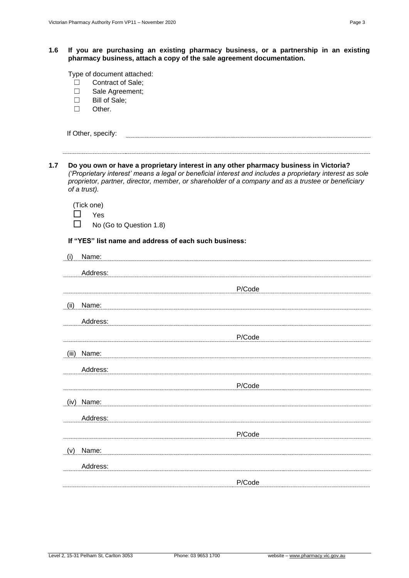### **1.6 If you are purchasing an existing pharmacy business, or a partnership in an existing pharmacy business, attach a copy of the sale agreement documentation.**

Type of document attached:

- ☐ Contract of Sale;
- ☐ Sale Agreement;
- ☐ Bill of Sale;
- ☐ Other.

| If Other, specify: |  |
|--------------------|--|
|                    |  |

**1.7 Do you own or have a proprietary interest in any other pharmacy business in Victoria?**  *('Proprietary interest' means a legal or beneficial interest and includes a proprietary interest as sole proprietor, partner, director, member, or shareholder of a company and as a trustee or beneficiary of a trust).* 

(Tick one) □ Yes  $\Box$  No (Go to Question 1.8)

#### **If "YES" list name and address of each such business:**

| (i)   | Name:    |        |
|-------|----------|--------|
|       |          |        |
|       | Address: |        |
|       |          | P/Code |
|       |          |        |
| (ii)  | Name:    |        |
|       | Address: |        |
|       |          | P/Code |
|       |          |        |
| (iii) | Name:    |        |
|       | Address: |        |
|       |          | P/Code |
| (iv)  | Name:    |        |
|       | Address: |        |
|       |          |        |
|       |          | P/Code |
| (v)   | Name:    |        |
|       | Address: |        |
|       |          |        |
|       |          | P/Code |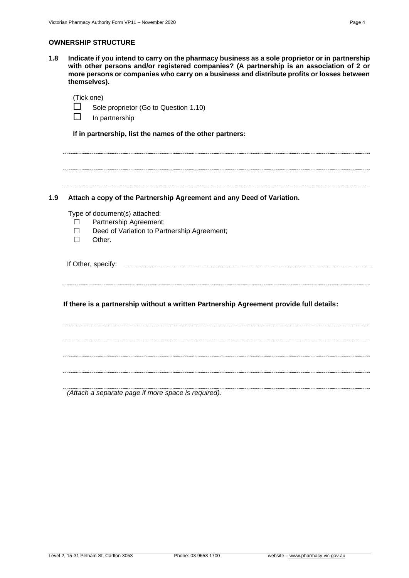#### **OWNERSHIP STRUCTURE**

**1.8 Indicate if you intend to carry on the pharmacy business as a sole proprietor or in partnership with other persons and/or registered companies? (A partnership is an association of 2 or more persons or companies who carry on a business and distribute profits or losses between themselves).**

### (Tick one)

Sole proprietor (Go to Question 1.10)

 $\Box$  In partnership

**If in partnership, list the names of the other partners:**

#### **1.9 Attach a copy of the Partnership Agreement and any Deed of Variation.**

Type of document(s) attached:

- ☐ Partnership Agreement;
- ☐ Deed of Variation to Partnership Agreement;
- ☐ Other.

If Other, specify: 

**If there is a partnership without a written Partnership Agreement provide full details:**

*(Attach a separate page if more space is required).*

Level 2, 15-31 Pelham St, Carlton 3053 Phone: 03 9653 1700 website – [www.pharmacy.vic.gov.au](http://www.pharmacy.vic.gov.au/)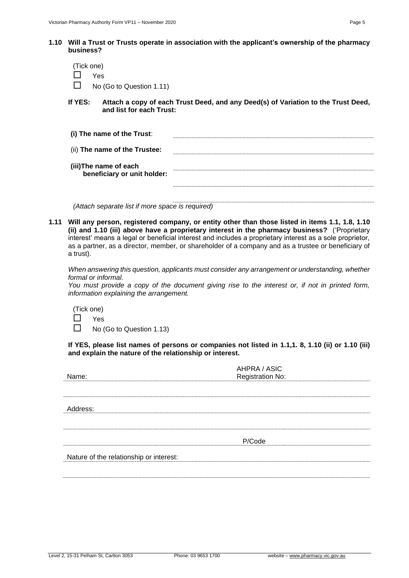**1.10 Will a Trust or Trusts operate in association with the applicant's ownership of the pharmacy business?**

| (Tick one)<br><b>Yes</b><br>No (Go to Question 1.11) |                                                                                   |
|------------------------------------------------------|-----------------------------------------------------------------------------------|
| If YES: I<br>and list for each Trust:                | Attach a copy of each Trust Deed, and any Deed(s) of Variation to the Trust Deed, |
| (i) The name of the Trust:                           |                                                                                   |
| (ii) The name of the Trustee:                        |                                                                                   |
| (iii)The name of each<br>beneficiary or unit holder: |                                                                                   |

*(Attach separate list if more space is required)*

**1.11 Will any person, registered company, or entity other than those listed in items 1.1, 1.8, 1.10 (ii) and 1.10 (iii) above have a proprietary interest in the pharmacy business?** ('Proprietary interest' means a legal or beneficial interest and includes a proprietary interest as a sole proprietor, as a partner, as a director, member, or shareholder of a company and as a trustee or beneficiary of a trust).

*When answering this question, applicants must consider any arrangement or understanding, whether formal or informal.*

*You must provide a copy of the document giving rise to the interest or, if not in printed form, information explaining the arrangement.*

(Tick one)

Yes

 $\Box$  No (Go to Question 1.13)

**If YES, please list names of persons or companies not listed in 1.1,1. 8, 1.10 (ii) or 1.10 (iii) and explain the nature of the relationship or interest.**

|                                         | AHPRA / ASIC            |
|-----------------------------------------|-------------------------|
| Name:                                   | <b>Registration No:</b> |
|                                         |                         |
| Address:                                |                         |
|                                         |                         |
|                                         |                         |
|                                         | P/Code                  |
| Nature of the relationship or interest: |                         |
|                                         |                         |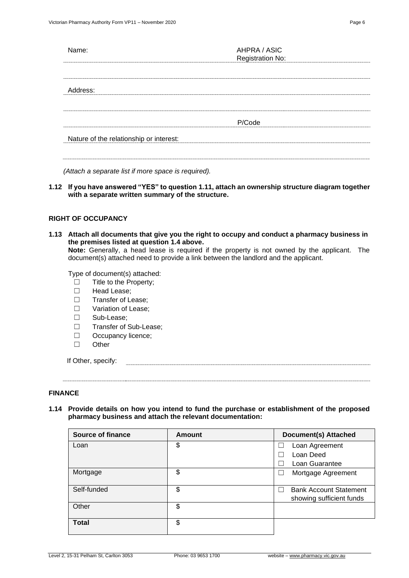| Name:                                   | AHPRA / ASIC<br>Registration No: |  |
|-----------------------------------------|----------------------------------|--|
|                                         |                                  |  |
| Address:                                |                                  |  |
|                                         |                                  |  |
|                                         | P/Code                           |  |
| Nature of the relationship or interest: |                                  |  |
|                                         |                                  |  |
|                                         |                                  |  |

*(Attach a separate list if more space is required).*

**1.12 If you have answered "YES" to question 1.11, attach an ownership structure diagram together with a separate written summary of the structure.**

#### **RIGHT OF OCCUPANCY**

- **1.13 Attach all documents that give you the right to occupy and conduct a pharmacy business in the premises listed at question 1.4 above. Note:** Generally, a head lease is required if the property is not owned by the applicant. The document(s) attached need to provide a link between the landlord and the applicant. Type of document(s) attached: ☐ Title to the Property;
	- ☐ Head Lease;
	- ☐ Transfer of Lease;
	- ☐ Variation of Lease;
	- ☐ Sub-Lease;
	- ☐ Transfer of Sub-Lease;
	- □ Occupancy licence;
	- ☐ Other

If Other, specify:

#### **FINANCE**

**1.14 Provide details on how you intend to fund the purchase or establishment of the proposed pharmacy business and attach the relevant documentation:** 

| <b>Source of finance</b> | Amount | <b>Document(s) Attached</b>   |
|--------------------------|--------|-------------------------------|
| Loan                     | \$     | Loan Agreement                |
|                          |        | Loan Deed                     |
|                          |        | Loan Guarantee                |
| Mortgage                 | \$     | Mortgage Agreement            |
|                          |        |                               |
| Self-funded              | \$     | <b>Bank Account Statement</b> |
|                          |        | showing sufficient funds      |
| Other                    | \$     |                               |
|                          |        |                               |
| <b>Total</b>             | \$     |                               |
|                          |        |                               |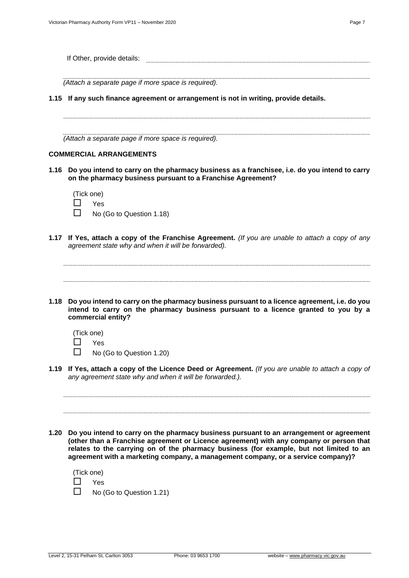| If Other, provide details:                                                                                                                                                                                                                                                            |
|---------------------------------------------------------------------------------------------------------------------------------------------------------------------------------------------------------------------------------------------------------------------------------------|
| (Attach a separate page if more space is required).                                                                                                                                                                                                                                   |
| 1.15 If any such finance agreement or arrangement is not in writing, provide details.                                                                                                                                                                                                 |
| (Attach a separate page if more space is required).                                                                                                                                                                                                                                   |
| <b>COMMERCIAL ARRANGEMENTS</b>                                                                                                                                                                                                                                                        |
| 1.16 Do you intend to carry on the pharmacy business as a franchisee, i.e. do you intend to carry<br>on the pharmacy business pursuant to a Franchise Agreement?                                                                                                                      |
| (Tick one)                                                                                                                                                                                                                                                                            |
| Yes                                                                                                                                                                                                                                                                                   |
| No (Go to Question 1.18)                                                                                                                                                                                                                                                              |
| 1.17 If Yes, attach a copy of the Franchise Agreement. (If you are unable to attach a copy of any<br>agreement state why and when it will be forwarded).                                                                                                                              |
| 1.18 Do you intend to carry on the pharmacy business pursuant to a licence agreement, i.e. do you<br>intend to carry on the pharmacy business pursuant to a licence granted to you by a<br>commercial entity?<br>(Tick one)<br>Yes<br>No (Go to Question 1.20)                        |
| 1.19 If Yes, attach a copy of the Licence Deed or Agreement. (If you are unable to attach a copy of<br>any agreement state why and when it will be forwarded.).                                                                                                                       |
| Do you intend to carry on the pharmacy business pursuant to an arrangement or agreement<br>1.20<br>(other than a Franchise agreement or Licence agreement) with any company or person that<br>relates to the carrying on of the pharmacy business (for example, but not limited to an |
|                                                                                                                                                                                                                                                                                       |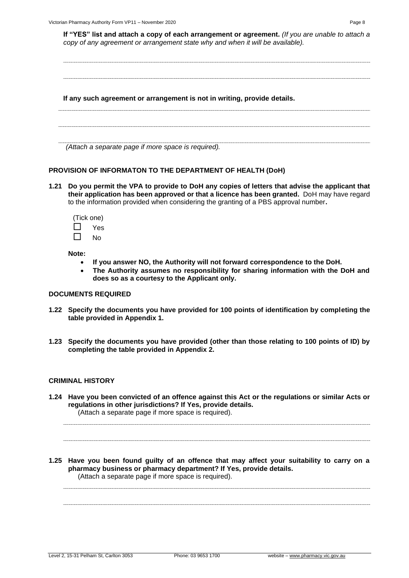**If "YES" list and attach a copy of each arrangement or agreement.** *(If you are unable to attach a copy of any agreement or arrangement state why and when it will be available).*

**If any such agreement or arrangement is not in writing, provide details.**

*(Attach a separate page if more space is required).*

#### **PROVISION OF INFORMATON TO THE DEPARTMENT OF HEALTH (DoH)**

**1.21 Do you permit the VPA to provide to DoH any copies of letters that advise the applicant that their application has been approved or that a licence has been granted.** DoH may have regard to the information provided when considering the granting of a PBS approval number**.**

(Tick one) Yes

 $\Box$  No

**Note:** 

- **If you answer NO, the Authority will not forward correspondence to the DoH.**
- **The Authority assumes no responsibility for sharing information with the DoH and does so as a courtesy to the Applicant only.**

#### **DOCUMENTS REQUIRED**

- **1.22 Specify the documents you have provided for 100 points of identification by completing the table provided in Appendix 1.**
- **1.23 Specify the documents you have provided (other than those relating to 100 points of ID) by completing the table provided in Appendix 2.**

#### **CRIMINAL HISTORY**

**1.24 Have you been convicted of an offence against this Act or the regulations or similar Acts or regulations in other jurisdictions? If Yes, provide details.** (Attach a separate page if more space is required).

**1.25 Have you been found guilty of an offence that may affect your suitability to carry on a pharmacy business or pharmacy department? If Yes, provide details.** (Attach a separate page if more space is required).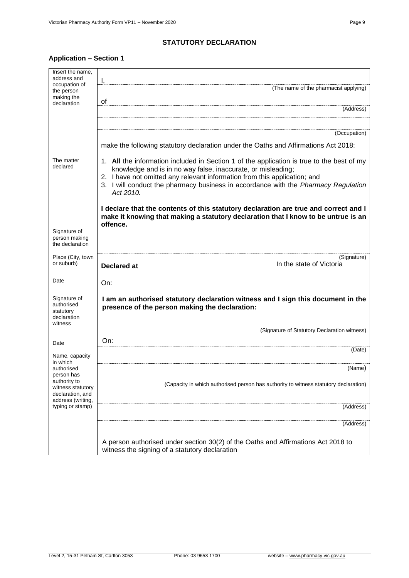### **STATUTORY DECLARATION**

# **Application – Section 1**

| Insert the name,                                                           |                                                                                                                                                                                                                                                                                                                                           |
|----------------------------------------------------------------------------|-------------------------------------------------------------------------------------------------------------------------------------------------------------------------------------------------------------------------------------------------------------------------------------------------------------------------------------------|
| address and<br>occupation of                                               | I,                                                                                                                                                                                                                                                                                                                                        |
| the person                                                                 | (The name of the pharmacist applying)                                                                                                                                                                                                                                                                                                     |
| making the<br>declaration                                                  | οf                                                                                                                                                                                                                                                                                                                                        |
|                                                                            | (Address)                                                                                                                                                                                                                                                                                                                                 |
|                                                                            |                                                                                                                                                                                                                                                                                                                                           |
|                                                                            | (Occupation)                                                                                                                                                                                                                                                                                                                              |
|                                                                            | make the following statutory declaration under the Oaths and Affirmations Act 2018:                                                                                                                                                                                                                                                       |
| The matter<br>declared                                                     | 1. All the information included in Section 1 of the application is true to the best of my<br>knowledge and is in no way false, inaccurate, or misleading;<br>2. I have not omitted any relevant information from this application; and<br>3. I will conduct the pharmacy business in accordance with the Pharmacy Regulation<br>Act 2010. |
|                                                                            | I declare that the contents of this statutory declaration are true and correct and I<br>make it knowing that making a statutory declaration that I know to be untrue is an<br>offence.                                                                                                                                                    |
| Signature of<br>person making<br>the declaration                           |                                                                                                                                                                                                                                                                                                                                           |
| Place (City, town<br>or suburb)                                            | (Signature)<br>In the state of Victoria<br><b>Declared at</b>                                                                                                                                                                                                                                                                             |
| Date                                                                       | On:                                                                                                                                                                                                                                                                                                                                       |
| Signature of<br>authorised<br>statutory<br>declaration<br>witness          | I am an authorised statutory declaration witness and I sign this document in the<br>presence of the person making the declaration:                                                                                                                                                                                                        |
|                                                                            | (Signature of Statutory Declaration witness)                                                                                                                                                                                                                                                                                              |
| Date                                                                       | On:                                                                                                                                                                                                                                                                                                                                       |
| Name, capacity                                                             | (Date)                                                                                                                                                                                                                                                                                                                                    |
| in which<br>authorised<br>person has                                       | (Name)                                                                                                                                                                                                                                                                                                                                    |
| authority to<br>witness statutory<br>declaration, and<br>address (writing, | (Capacity in which authorised person has authority to witness statutory declaration)                                                                                                                                                                                                                                                      |
| typing or stamp)                                                           | (Address)                                                                                                                                                                                                                                                                                                                                 |
|                                                                            | (Address)                                                                                                                                                                                                                                                                                                                                 |
|                                                                            | A person authorised under section 30(2) of the Oaths and Affirmations Act 2018 to<br>witness the signing of a statutory declaration                                                                                                                                                                                                       |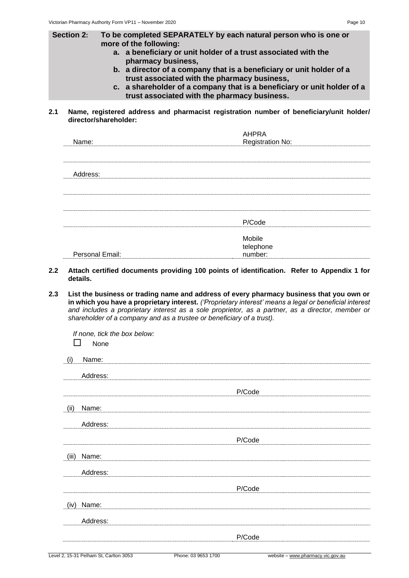- **Section 2: To be completed SEPARATELY by each natural person who is one or more of the following:** 
	- **a. a beneficiary or unit holder of a trust associated with the pharmacy business,**
	- **b. a director of a company that is a beneficiary or unit holder of a trust associated with the pharmacy business,**
	- **c. a shareholder of a company that is a beneficiary or unit holder of a trust associated with the pharmacy business.**
- **2.1 Name, registered address and pharmacist registration number of beneficiary/unit holder/ director/shareholder:**

|                 | <b>AHPRA</b>            |  |
|-----------------|-------------------------|--|
| Name:           | <b>Registration No:</b> |  |
|                 |                         |  |
|                 |                         |  |
| Address:        |                         |  |
|                 |                         |  |
|                 |                         |  |
|                 |                         |  |
|                 |                         |  |
|                 |                         |  |
|                 | P/Code                  |  |
|                 |                         |  |
|                 | Mobile                  |  |
|                 | telephone<br>number:    |  |
| Personal Email: |                         |  |

- **2.2 Attach certified documents providing 100 points of identification. Refer to Appendix 1 for details.**
- **2.3 List the business or trading name and address of every pharmacy business that you own or in which you have a proprietary interest.** *('Proprietary interest' means a legal or beneficial interest and includes a proprietary interest as a sole proprietor, as a partner, as a director, member or shareholder of a company and as a trustee or beneficiary of a trust).*

*If none, tick the box below:*

 $\Box$  None

| (i)   | Name:    |        |
|-------|----------|--------|
|       | Address: |        |
|       |          | P/Code |
| (ii)  | Name:    |        |
|       | Address: |        |
|       |          | P/Code |
| (iii) | Name:    |        |
|       | Address: |        |
|       |          | P/Code |
| (iv)  | Name:    |        |
|       | Address: |        |
|       |          | P/Code |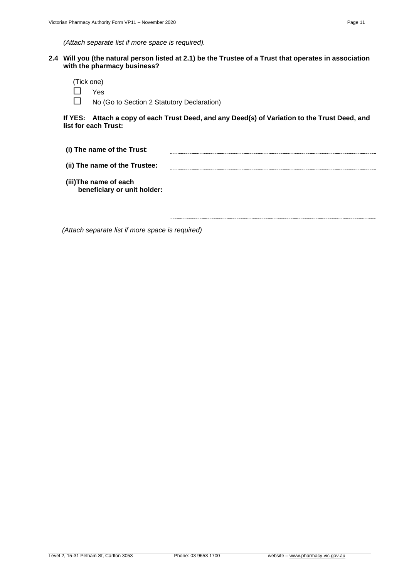**2.4 Will you (the natural person listed at 2.1) be the Trustee of a Trust that operates in association with the pharmacy business?**

| (Tick one) |  |
|------------|--|
| Yes        |  |

No (Go to Section 2 Statutory Declaration)

**If YES: Attach a copy of each Trust Deed, and any Deed(s) of Variation to the Trust Deed, and list for each Trust:**

| (i) The name of the Trust:                           |  |
|------------------------------------------------------|--|
| (ii) The name of the Trustee:                        |  |
| (iii)The name of each<br>beneficiary or unit holder: |  |
|                                                      |  |
|                                                      |  |

*(Attach separate list if more space is required)*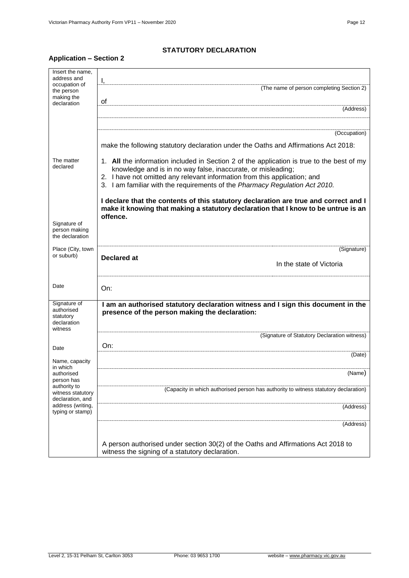# **Application – Section 2**

| Insert the name,<br>address and                                   | Ι,                                                                                                                                                                                                                                                                                                                    |
|-------------------------------------------------------------------|-----------------------------------------------------------------------------------------------------------------------------------------------------------------------------------------------------------------------------------------------------------------------------------------------------------------------|
| occupation of<br>the person<br>making the                         | (The name of person completing Section 2)<br>οf                                                                                                                                                                                                                                                                       |
| declaration                                                       | (Address)                                                                                                                                                                                                                                                                                                             |
|                                                                   | (Occupation)                                                                                                                                                                                                                                                                                                          |
|                                                                   | make the following statutory declaration under the Oaths and Affirmations Act 2018:                                                                                                                                                                                                                                   |
| The matter<br>declared                                            | 1. All the information included in Section 2 of the application is true to the best of my<br>knowledge and is in no way false, inaccurate, or misleading;<br>2. I have not omitted any relevant information from this application; and<br>3. I am familiar with the requirements of the Pharmacy Regulation Act 2010. |
| Signature of<br>person making<br>the declaration                  | I declare that the contents of this statutory declaration are true and correct and I<br>make it knowing that making a statutory declaration that I know to be untrue is an<br>offence.                                                                                                                                |
| Place (City, town<br>or suburb)                                   | (Signature)                                                                                                                                                                                                                                                                                                           |
|                                                                   | <b>Declared at</b><br>In the state of Victoria                                                                                                                                                                                                                                                                        |
| Date                                                              | On:                                                                                                                                                                                                                                                                                                                   |
| Signature of<br>authorised<br>statutory<br>declaration<br>witness | I am an authorised statutory declaration witness and I sign this document in the<br>presence of the person making the declaration:                                                                                                                                                                                    |
|                                                                   | (Signature of Statutory Declaration witness)                                                                                                                                                                                                                                                                          |
| Date                                                              | On:<br>(Date)                                                                                                                                                                                                                                                                                                         |
| Name, capacity<br>in which<br>authorised<br>person has            | (Name)                                                                                                                                                                                                                                                                                                                |
| authority to<br>witness statutory<br>declaration, and             | (Capacity in which authorised person has authority to witness statutory declaration)                                                                                                                                                                                                                                  |
| address (writing,<br>typing or stamp)                             | (Address)                                                                                                                                                                                                                                                                                                             |
|                                                                   | (Address)                                                                                                                                                                                                                                                                                                             |
|                                                                   | A person authorised under section 30(2) of the Oaths and Affirmations Act 2018 to<br>witness the signing of a statutory declaration.                                                                                                                                                                                  |

**STATUTORY DECLARATION**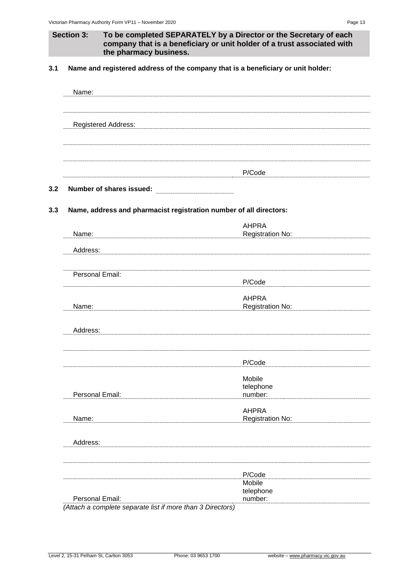**3.1 Name and registered address of the company that is a beneficiary or unit holder:**

| Name:                                                                         |                                         |
|-------------------------------------------------------------------------------|-----------------------------------------|
| <b>Registered Address:</b>                                                    |                                         |
|                                                                               | P/Code                                  |
| Number of shares issued:                                                      |                                         |
| Name, address and pharmacist registration number of all directors:            |                                         |
| Name:                                                                         | <b>AHPRA</b><br><b>Registration No:</b> |
| Address:                                                                      |                                         |
| Personal Email:                                                               | P/Code                                  |
| Name:                                                                         | <b>AHPRA</b><br><b>Registration No:</b> |
| Address:                                                                      |                                         |
|                                                                               | P/Code                                  |
| Personal Email:                                                               | Mobile<br>telephone<br>number:          |
| Name:                                                                         | <b>AHPRA</b><br>Registration No:        |
| Address:                                                                      |                                         |
|                                                                               | P/Code                                  |
|                                                                               | Mobile<br>telephone                     |
| Personal Email:<br>(Attach a complete separate list if more than 3 Directors) | number:                                 |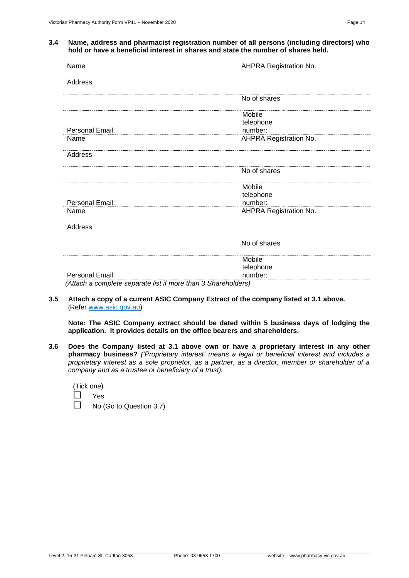#### **3.4 Name, address and pharmacist registration number of all persons (including directors) who hold or have a beneficial interest in shares and state the number of shares held.**

| Name                                                          | AHPRA Registration No.        |
|---------------------------------------------------------------|-------------------------------|
| Address                                                       |                               |
|                                                               | No of shares                  |
|                                                               | Mobile                        |
|                                                               | telephone                     |
| Personal Email:                                               | number:                       |
| Name                                                          | <b>AHPRA Registration No.</b> |
| Address                                                       |                               |
|                                                               | No of shares                  |
|                                                               | Mobile                        |
|                                                               | telephone                     |
| Personal Email:                                               | number:                       |
| Name                                                          | <b>AHPRA Registration No.</b> |
| Address                                                       |                               |
|                                                               | No of shares                  |
|                                                               | Mobile                        |
|                                                               | telephone                     |
| Personal Email:                                               | number:                       |
| (Attach a complete separate list if more than 3 Shareholders) |                               |

#### **3.5 Attach a copy of a current ASIC Company Extract of the company listed at 3.1 above.** (Refer [www.asic.gov.au\)](http://www.asic.gov.au/)

**Note: The ASIC Company extract should be dated within 5 business days of lodging the application. It provides details on the office bearers and shareholders.**

**3.6 Does the Company listed at 3.1 above own or have a proprietary interest in any other pharmacy business?** *('Proprietary interest' means a legal or beneficial interest and includes a proprietary interest as a sole proprietor, as a partner, as a director, member or shareholder of a company and as a trustee or beneficiary of a trust).*

|  | (Tick one) |
|--|------------|
|  | Voc        |

| ш | Yes                            |
|---|--------------------------------|
|   | $\Box$ No (Go to Question 3.7) |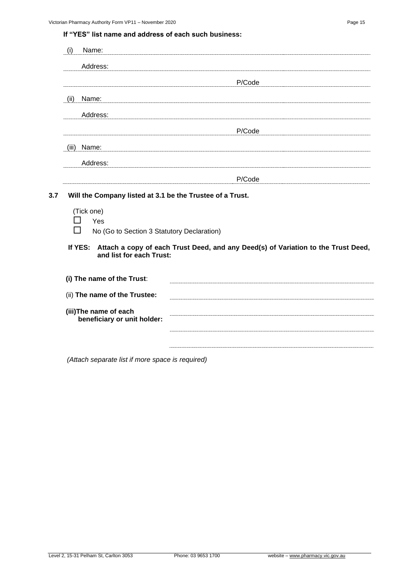**If "YES" list name and address of each such business:**

| Name:<br>(i)                                                                             |                                                                                   |
|------------------------------------------------------------------------------------------|-----------------------------------------------------------------------------------|
| Address:                                                                                 |                                                                                   |
|                                                                                          | P/Code                                                                            |
| (ii)<br>Name:                                                                            |                                                                                   |
| Address:                                                                                 |                                                                                   |
|                                                                                          | P/Code                                                                            |
| Name:<br>(iii)                                                                           |                                                                                   |
| Address:                                                                                 |                                                                                   |
|                                                                                          | P/Code                                                                            |
| Yes<br>No (Go to Section 3 Statutory Declaration)<br>If YES:<br>and list for each Trust: | Attach a copy of each Trust Deed, and any Deed(s) of Variation to the Trust Deed, |
| (i) The name of the Trust:                                                               |                                                                                   |
| (ii) The name of the Trustee:                                                            |                                                                                   |
| (iii) The name of each<br>beneficiary or unit holder:                                    |                                                                                   |
|                                                                                          |                                                                                   |
|                                                                                          |                                                                                   |

*(Attach separate list if more space is required)*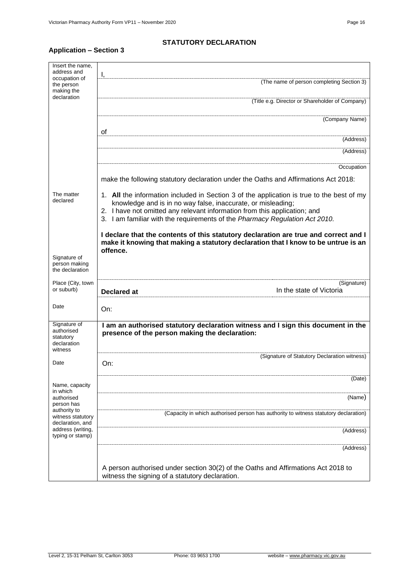### **STATUTORY DECLARATION**

# **Application – Section 3**

| Insert the name.<br>address and                                   |                                                                                                                                                                                                                                                                                                                       |  |  |
|-------------------------------------------------------------------|-----------------------------------------------------------------------------------------------------------------------------------------------------------------------------------------------------------------------------------------------------------------------------------------------------------------------|--|--|
| occupation of<br>the person<br>making the                         | Ι,<br>(The name of person completing Section 3)                                                                                                                                                                                                                                                                       |  |  |
| declaration                                                       | (Title e.g. Director or Shareholder of Company)                                                                                                                                                                                                                                                                       |  |  |
|                                                                   | (Company Name)                                                                                                                                                                                                                                                                                                        |  |  |
|                                                                   | οf<br>(Address)                                                                                                                                                                                                                                                                                                       |  |  |
|                                                                   | (Address)                                                                                                                                                                                                                                                                                                             |  |  |
|                                                                   | Occupation                                                                                                                                                                                                                                                                                                            |  |  |
|                                                                   | make the following statutory declaration under the Oaths and Affirmations Act 2018:                                                                                                                                                                                                                                   |  |  |
| The matter<br>declared                                            | 1. All the information included in Section 3 of the application is true to the best of my<br>knowledge and is in no way false, inaccurate, or misleading;<br>2. I have not omitted any relevant information from this application; and<br>3. I am familiar with the requirements of the Pharmacy Regulation Act 2010. |  |  |
|                                                                   | I declare that the contents of this statutory declaration are true and correct and I<br>make it knowing that making a statutory declaration that I know to be untrue is an<br>offence.                                                                                                                                |  |  |
| Signature of<br>person making<br>the declaration                  |                                                                                                                                                                                                                                                                                                                       |  |  |
| Place (City, town<br>or suburb)                                   | (Signature)<br>In the state of Victoria<br><b>Declared at</b>                                                                                                                                                                                                                                                         |  |  |
| Date                                                              | On:                                                                                                                                                                                                                                                                                                                   |  |  |
| Signature of<br>authorised<br>statutory<br>declaration<br>witness | I am an authorised statutory declaration witness and I sign this document in the<br>presence of the person making the declaration:                                                                                                                                                                                    |  |  |
| Date                                                              | (Signature of Statutory Declaration witness)<br>On:                                                                                                                                                                                                                                                                   |  |  |
| Name, capacity<br>in which                                        | (Date)                                                                                                                                                                                                                                                                                                                |  |  |
| authorised<br>person has                                          | (Name)                                                                                                                                                                                                                                                                                                                |  |  |
| authority to<br>witness statutory<br>declaration, and             | (Capacity in which authorised person has authority to witness statutory declaration)                                                                                                                                                                                                                                  |  |  |
| address (writing,<br>typing or stamp)                             | (Address)                                                                                                                                                                                                                                                                                                             |  |  |
|                                                                   | (Address)                                                                                                                                                                                                                                                                                                             |  |  |
|                                                                   | A person authorised under section 30(2) of the Oaths and Affirmations Act 2018 to<br>witness the signing of a statutory declaration.                                                                                                                                                                                  |  |  |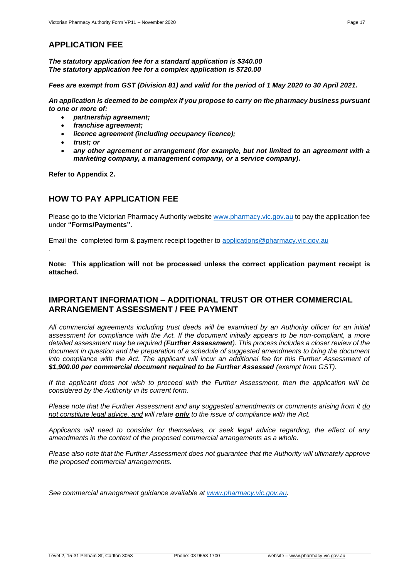# **APPLICATION FEE**

*The statutory application fee for a standard application is \$340.00 The statutory application fee for a complex application is \$720.00*

*Fees are exempt from GST (Division 81) and valid for the period of 1 May 2020 to 30 April 2021.*

*An application is deemed to be complex if you propose to carry on the pharmacy business pursuant to one or more of:* 

- *partnership agreement;*
- *franchise agreement;*
- *licence agreement (including occupancy licence);*
- *trust; or*
- *any other agreement or arrangement (for example, but not limited to an agreement with a marketing company, a management company, or a service company).*

**Refer to Appendix 2.**

.

### **HOW TO PAY APPLICATION FEE**

Please go to the Victorian Pharmacy Authority website [www.pharmacy.vic.gov.au](http://www.pharmacy.vic.gov.au/) to pay the application fee under **"Forms/Payments"**.

Email the completed form & payment receipt together to [applications@pharmacy.vic.gov.au](mailto:applications@pharmacy.vic.gov.au)

**Note: This application will not be processed unless the correct application payment receipt is attached.**

### **IMPORTANT INFORMATION – ADDITIONAL TRUST OR OTHER COMMERCIAL ARRANGEMENT ASSESSMENT / FEE PAYMENT**

*All commercial agreements including trust deeds will be examined by an Authority officer for an initial assessment for compliance with the Act. If the document initially appears to be non-compliant, a more detailed assessment may be required (Further Assessment). This process includes a closer review of the document in question and the preparation of a schedule of suggested amendments to bring the document*  into compliance with the Act. The applicant will incur an additional fee for this Further Assessment of *\$1,900.00 per commercial document required to be Further Assessed (exempt from GST).* 

*If the applicant does not wish to proceed with the Further Assessment, then the application will be considered by the Authority in its current form.*

*Please note that the Further Assessment and any suggested amendments or comments arising from it do not constitute legal advice, and will relate only to the issue of compliance with the Act.*

*Applicants will need to consider for themselves, or seek legal advice regarding, the effect of any amendments in the context of the proposed commercial arrangements as a whole.*

*Please also note that the Further Assessment does not guarantee that the Authority will ultimately approve the proposed commercial arrangements.* 

*See commercial arrangement guidance available at [www.pharmacy.vic.gov.au.](http://www.pharmacy.vic.gov.au/)*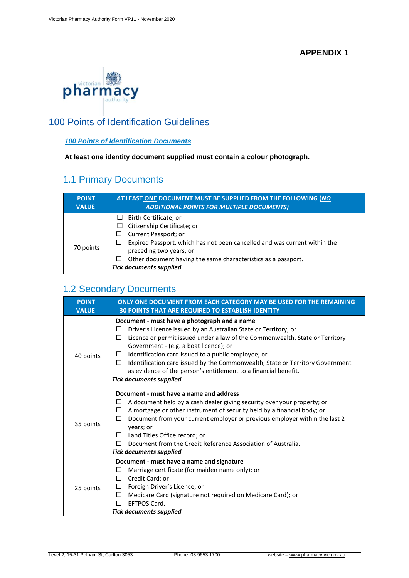## **APPENDIX 1**



# 100 Points of Identification Guidelines

### *100 Points of Identification Documents*

**At least one identity document supplied must contain a colour photograph.**

# 1.1 Primary Documents

| <b>POINT</b><br><b>VALUE</b> | AT LEAST ONE DOCUMENT MUST BE SUPPLIED FROM THE FOLLOWING (NO<br><b>ADDITIONAL POINTS FOR MULTIPLE DOCUMENTS)</b>                                                        |  |  |
|------------------------------|--------------------------------------------------------------------------------------------------------------------------------------------------------------------------|--|--|
| 70 points                    | Birth Certificate; or<br>⊔<br>Citizenship Certificate; or<br>Current Passport; or<br>Expired Passport, which has not been cancelled and was current within the<br>$\Box$ |  |  |
|                              | preceding two years; or<br>Other document having the same characteristics as a passport.<br>$\Box$<br><b>Tick documents supplied</b>                                     |  |  |

# 1.2 Secondary Documents

| <b>POINT</b><br><b>VALUE</b> | ONLY ONE DOCUMENT FROM EACH CATEGORY MAY BE USED FOR THE REMAINING<br><b>30 POINTS THAT ARE REQUIRED TO ESTABLISH IDENTITY</b>                                                                                                                                                                                                                                                                                                                                                                                            |  |  |
|------------------------------|---------------------------------------------------------------------------------------------------------------------------------------------------------------------------------------------------------------------------------------------------------------------------------------------------------------------------------------------------------------------------------------------------------------------------------------------------------------------------------------------------------------------------|--|--|
| 40 points                    | Document - must have a photograph and a name<br>Driver's Licence issued by an Australian State or Territory; or<br>$\Box$<br>Licence or permit issued under a law of the Commonwealth, State or Territory<br>$\Box$<br>Government - (e.g. a boat licence); or<br>Identification card issued to a public employee; or<br>⊔<br>Identification card issued by the Commonwealth, State or Territory Government<br>$\Box$<br>as evidence of the person's entitlement to a financial benefit.<br><b>Tick documents supplied</b> |  |  |
| 35 points                    | Document - must have a name and address<br>A document held by a cash dealer giving security over your property; or<br>□<br>A mortgage or other instrument of security held by a financial body; or<br>$\Box$<br>Document from your current employer or previous employer within the last 2<br>П<br>years; or<br>Land Titles Office record; or<br>$\Box$<br>Document from the Credit Reference Association of Australia.<br>П<br><b>Tick documents supplied</b>                                                            |  |  |
| 25 points                    | Document - must have a name and signature<br>Marriage certificate (for maiden name only); or<br>⊔<br>Credit Card; or<br>П<br>Foreign Driver's Licence; or<br>□<br>Medicare Card (signature not required on Medicare Card); or<br>□<br>EFTPOS Card.<br>П<br>Tick documents supplied                                                                                                                                                                                                                                        |  |  |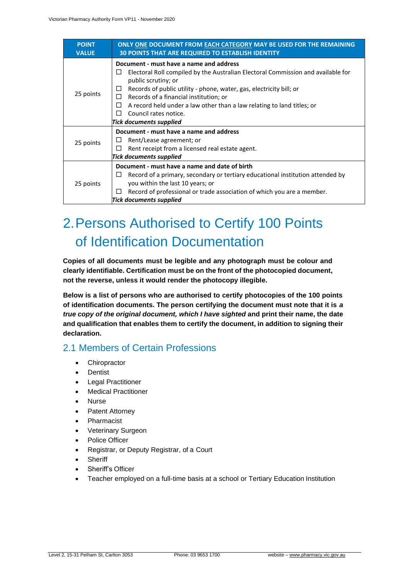| <b>POINT</b><br><b>VALUE</b> | ONLY ONE DOCUMENT FROM EACH CATEGORY MAY BE USED FOR THE REMAINING<br><b>30 POINTS THAT ARE REQUIRED TO ESTABLISH IDENTITY</b>                                                                                                                                                                                                                                                                                                   |  |  |
|------------------------------|----------------------------------------------------------------------------------------------------------------------------------------------------------------------------------------------------------------------------------------------------------------------------------------------------------------------------------------------------------------------------------------------------------------------------------|--|--|
| 25 points                    | Document - must have a name and address<br>Electoral Roll compiled by the Australian Electoral Commission and available for<br>$\Box$<br>public scrutiny; or<br>Records of public utility - phone, water, gas, electricity bill; or<br>⊔<br>Records of a financial institution; or<br>□<br>A record held under a law other than a law relating to land titles; or<br>□<br>Council rates notice.<br>ΓI<br>Tick documents supplied |  |  |
| 25 points                    | Document - must have a name and address<br>Rent/Lease agreement; or<br>⊔<br>Rent receipt from a licensed real estate agent.<br>$\Box$<br>Tick documents supplied                                                                                                                                                                                                                                                                 |  |  |
| 25 points                    | Document - must have a name and date of birth<br>Record of a primary, secondary or tertiary educational institution attended by<br>⊔<br>you within the last 10 years; or<br>Record of professional or trade association of which you are a member.<br>⊔<br><b>Tick documents supplied</b>                                                                                                                                        |  |  |

# 2.Persons Authorised to Certify 100 Points of Identification Documentation

**Copies of all documents must be legible and any photograph must be colour and clearly identifiable. Certification must be on the front of the photocopied document, not the reverse, unless it would render the photocopy illegible.**

**Below is a list of persons who are authorised to certify photocopies of the 100 points of identification documents. The person certifying the document must note that it is** *a true copy of the original document, which I have sighted* **and print their name, the date and qualification that enables them to certify the document, in addition to signing their declaration.**

# 2.1 Members of Certain Professions

- Chiropractor
- Dentist
- Legal Practitioner
- Medical Practitioner
- Nurse
- Patent Attorney
- Pharmacist
- Veterinary Surgeon
- Police Officer
- Registrar, or Deputy Registrar, of a Court
- **Sheriff**
- Sheriff's Officer
- Teacher employed on a full-time basis at a school or Tertiary Education Institution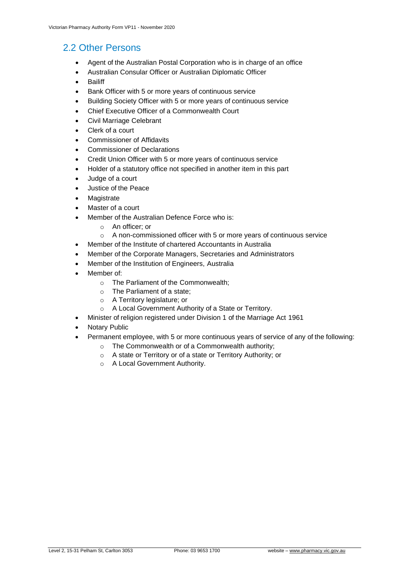# 2.2 Other Persons

- Agent of the Australian Postal Corporation who is in charge of an office
- Australian Consular Officer or Australian Diplomatic Officer
- Bailiff
- Bank Officer with 5 or more years of continuous service
- Building Society Officer with 5 or more years of continuous service
- Chief Executive Officer of a Commonwealth Court
- Civil Marriage Celebrant
- Clerk of a court
- Commissioner of Affidavits
- Commissioner of Declarations
- Credit Union Officer with 5 or more years of continuous service
- Holder of a statutory office not specified in another item in this part
- Judge of a court
- Justice of the Peace
- **Magistrate**
- Master of a court
- Member of the Australian Defence Force who is:
	- o An officer; or
	- o A non-commissioned officer with 5 or more years of continuous service
- Member of the Institute of chartered Accountants in Australia
- Member of the Corporate Managers, Secretaries and Administrators
- Member of the Institution of Engineers, Australia
- Member of:
	- o The Parliament of the Commonwealth;
	- o The Parliament of a state;
	- o A Territory legislature; or
	- o A Local Government Authority of a State or Territory.
- Minister of religion registered under Division 1 of the Marriage Act 1961
- **Notary Public**
- Permanent employee, with 5 or more continuous years of service of any of the following:
	- o The Commonwealth or of a Commonwealth authority;
	- o A state or Territory or of a state or Territory Authority; or
	- o A Local Government Authority.